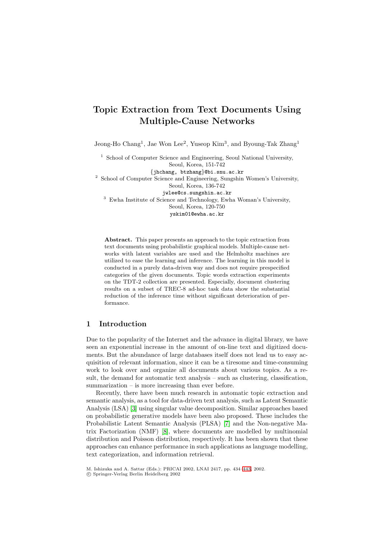# **Topic Extraction from Text Documents Using Multiple-Cause Networks**

Jeong-Ho Chang<sup>1</sup>, Jae Won Lee<sup>2</sup>, Yuseop Kim<sup>3</sup>, and Byoung-Tak Zhang<sup>1</sup>

<sup>1</sup> School of Computer Science and Engineering, Seoul National University, Seoul, Korea, 151-742 {jhchang, btzhang}@bi.snu.ac.kr <sup>2</sup> School of Computer Science and Engineering, Sungshin Women's University, Seoul, Korea, 136-742 jwlee@cs.sungshin.ac.kr <sup>3</sup> Ewha Institute of Science and Technology, Ewha Woman's University, Seoul, Korea, 120-750 yskim01@ewha.ac.kr

**Abstract.** This paper presents an approach to the topic extraction from text documents using probabilistic graphical models. Multiple-cause networks with latent variables are used and the Helmholtz machines are utilized to ease the learning and inference. The learning in this model is conducted in a purely data-driven way and does not require prespecified categories of the given documents. Topic words extraction experiments on the TDT-2 collection are presented. Especially, document clustering results on a subset of TREC-8 ad-hoc task data show the substantial reduction of the inference time without significant deterioration of performance.

# **1 Introduction**

Due to the popularity of the Internet and the advance in digital library, we have seen an exponential increase in the amount of on-line text and digitized documents. But the abundance of large databases itself does not lead us to easy acquisition of relevant information, since it can be a tiresome and time-consuming work to look over and organize all documents about various topics. As a result, the demand for automatic text analysis – such as clustering, classification, summarization – is more increasing than ever before.

Recently, there have been much research in automatic topic extraction and semantic analysis, as a tool for data-driven text analysis, such as Latent Semantic Analysis (LSA) [\[3\]](#page-9-0) using singular value decomposition. Similar approaches based on probabilistic generative models have been also proposed. These includes the Probabilistic Latent Semantic Analysis (PLSA) [\[7\]](#page-9-0) and the Non-negative Matrix Factorization (NMF) [\[8\]](#page-9-0), where documents are modelled by multinomial distribution and Poisson distribution, respectively. It has been shown that these approaches can enhance performance in such applications as language modelling, text categorization, and information retrieval.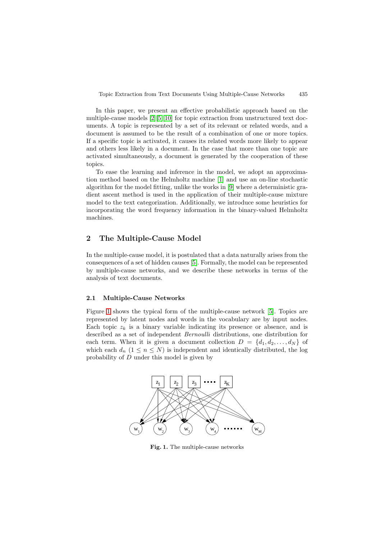<span id="page-1-0"></span>In this paper, we present an effective probabilistic approach based on the multiple-cause models [\[2\]\[5\]\[10\]](#page-9-0) for topic extraction from unstructured text documents. A topic is represented by a set of its relevant or related words, and a document is assumed to be the result of a combination of one or more topics. If a specific topic is activated, it causes its related words more likely to appear and others less likely in a document. In the case that more than one topic are activated simultaneously, a document is generated by the cooperation of these topics.

To ease the learning and inference in the model, we adopt an approximation method based on the Helmholtz machine [\[1\]](#page-9-0) and use an on-line stochastic algorithm for the model fitting, unlike the works in [\[9\]](#page-9-0) where a deterministic gradient ascent method is used in the application of their multiple-cause mixture model to the text categorization. Additionally, we introduce some heuristics for incorporating the word frequency information in the binary-valued Helmholtz machines.

### **2 The Multiple-Cause Model**

In the multiple-cause model, it is postulated that a data naturally arises from the consequences of a set of hidden causes [\[5\]](#page-9-0). Formally, the model can be represented by multiple-cause networks, and we describe these networks in terms of the analysis of text documents.

#### **2.1 Multiple-Cause Networks**

Figure 1 shows the typical form of the multiple-cause network [\[5\]](#page-9-0). Topics are represented by latent nodes and words in the vocabulary are by input nodes. Each topic  $z_k$  is a binary variable indicating its presence or absence, and is described as a set of independent Bernoulli distributions, one distribution for each term. When it is given a document collection  $D = \{d_1, d_2, \ldots, d_N\}$  of which each  $d_n$   $(1 \leq n \leq N)$  is independent and identically distributed, the log probability of D under this model is given by



**Fig. 1.** The multiple-cause networks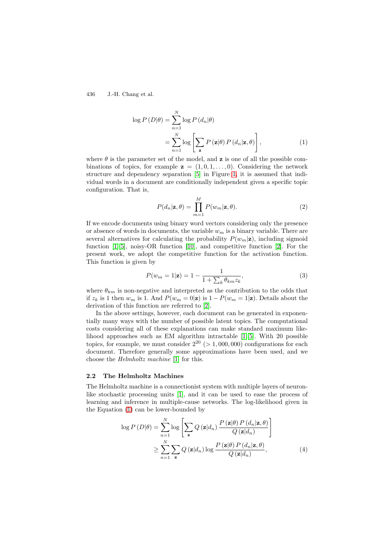$$
\log P(D|\theta) = \sum_{n=1}^{N} \log P(d_n|\theta)
$$
  
= 
$$
\sum_{n=1}^{N} \log \left[ \sum_{\mathbf{z}} P(\mathbf{z}|\theta) P(d_n|\mathbf{z}, \theta) \right],
$$
 (1)

where  $\theta$  is the parameter set of the model, and **z** is one of all the possible combinations of topics, for example  $z = (1, 0, 1, \ldots, 0)$ . Considering the network structure and dependency separation [\[5\]](#page-9-0) in Figure [1,](#page-1-0) it is assumed that individual words in a document are conditionally independent given a specific topic configuration. That is,

$$
P(d_n|\mathbf{z}, \theta) = \prod_{m=1}^{M} P(w_m|\mathbf{z}, \theta).
$$
 (2)

If we encode documents using binary word vectors considering only the presence or absence of words in documents, the variable  $w_m$  is a binary variable. There are several alternatives for calculating the probability  $P(w_m|\mathbf{z})$ , including sigmoid function [\[1\]\[5\]](#page-9-0), noisy-OR function [\[10\]](#page-9-0), and competitive function [\[2\]](#page-9-0). For the present work, we adopt the competitive function for the activation function. This function is given by

$$
P(w_m = 1|\mathbf{z}) = 1 - \frac{1}{1 + \sum_k \theta_{km} z_k},\tag{3}
$$

where  $\theta_{km}$  is non-negative and interpreted as the contribution to the odds that if  $z_k$  is 1 then  $w_m$  is 1. And  $P(w_m = 0|\mathbf{z})$  is  $1 - P(w_m = 1|\mathbf{z})$ . Details about the derivation of this function are referred to [\[2\]](#page-9-0).

In the above settings, however, each document can be generated in exponentially many ways with the number of possible latent topics. The computational costs considering all of these explanations can make standard maximum likelihood approaches such as EM algorithm intractable [\[1\]\[5\]](#page-9-0). With 20 possible topics, for example, we must consider  $2^{20}$  ( $> 1,000,000$ ) configurations for each document. Therefore generally some approximations have been used, and we choose the Helmholtz machine [\[1\]](#page-9-0) for this.

### **2.2 The Helmholtz Machines**

The Helmholtz machine is a connectionist system with multiple layers of neuronlike stochastic processing units [\[1\]](#page-9-0), and it can be used to ease the process of learning and inference in multiple-cause networks. The log-likelihood given in the Equation (1) can be lower-bounded by

$$
\log P(D|\theta) = \sum_{n=1}^{N} \log \left[ \sum_{\mathbf{z}} Q(\mathbf{z}|d_n) \frac{P(\mathbf{z}|\theta) P(d_n|\mathbf{z}, \theta)}{Q(\mathbf{z}|d_n)} \right]
$$
  

$$
\geq \sum_{n=1}^{N} \sum_{\mathbf{z}} Q(\mathbf{z}|d_n) \log \frac{P(\mathbf{z}|\theta) P(d_n|\mathbf{z}, \theta)}{Q(\mathbf{z}|d_n)}, \tag{4}
$$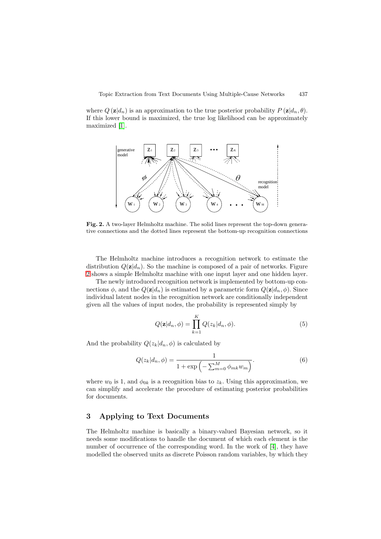<span id="page-3-0"></span>where  $Q(\mathbf{z}|d_n)$  is an approximation to the true posterior probability  $P(\mathbf{z}|d_n, \theta)$ . If this lower bound is maximized, the true log likelihood can be approximately maximized [\[1\]](#page-9-0).



**Fig. 2.** A two-layer Helmholtz machine. The solid lines represent the top-down generative connections and the dotted lines represent the bottom-up recognition connections

The Helmholtz machine introduces a recognition network to estimate the distribution  $Q(\mathbf{z}|d_n)$ . So the machine is composed of a pair of networks. Figure 2 shows a simple Helmholtz machine with one input layer and one hidden layer.

The newly introduced recognition network is implemented by bottom-up connections  $\phi$ , and the  $Q(\mathbf{z}|d_n)$  is estimated by a parametric form  $Q(\mathbf{z}|d_n, \phi)$ . Since individual latent nodes in the recognition network are conditionally independent given all the values of input nodes, the probability is represented simply by

$$
Q(\mathbf{z}|d_n, \phi) = \prod_{k=1}^{K} Q(z_k|d_n, \phi).
$$
 (5)

And the probability  $Q(z_k|d_n, \phi)$  is calculated by

$$
Q(z_k|d_n, \phi) = \frac{1}{1 + \exp\left(-\sum_{m=0}^M \phi_{mk} w_m\right)}.
$$
 (6)

where  $w_0$  is 1, and  $\phi_{0k}$  is a recognition bias to  $z_k$ . Using this approximation, we can simplify and accelerate the procedure of estimating posterior probabilities for documents.

### **3Applying to Text Documents**

The Helmholtz machine is basically a binary-valued Bayesian network, so it needs some modifications to handle the document of which each element is the number of occurrence of the corresponding word. In the work of [\[4\]](#page-9-0), they have modelled the observed units as discrete Poisson random variables, by which they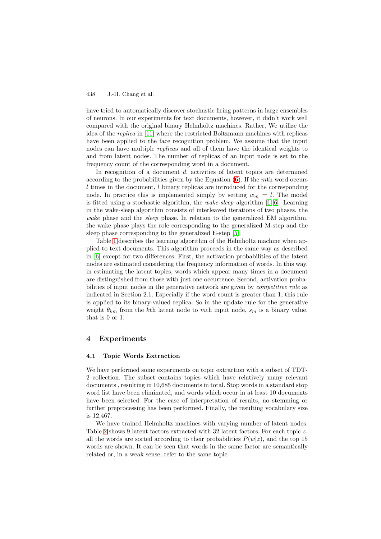have tried to automatically discover stochastic firing patterns in large ensembles of neurons. In our experiments for text documents, however, it didn't work well compared with the original binary Helmholtz machines. Rather, We utilize the idea of the replica in [\[11\]](#page-9-0) where the restricted Boltzmann machines with replicas have been applied to the face recognition problem. We assume that the input nodes can have multiple replicas and all of them have the identical weights to and from latent nodes. The number of replicas of an input node is set to the frequency count of the corresponding word in a document.

In recognition of a document  $d$ , activities of latent topics are determined according to the probabilities given by the Equation [\(6\)](#page-3-0). If the mth word occurs l times in the document, l binary replicas are introduced for the corresponding node. In practice this is implemented simply by setting  $w_m = l$ . The model is fitted using a stochastic algorithm, the wake-sleep algorithm [\[1\]\[6\]](#page-9-0). Learning in the wake-sleep algorithm consists of interleaved iterations of two phases, the wake phase and the *sleep* phase. In relation to the generalized EM algorithm, the wake phase plays the role corresponding to the generalized M-step and the sleep phase corresponding to the generalized E-step [\[5\]](#page-9-0).

Table [1](#page-5-0) describes the learning algorithm of the Helmholtz machine when applied to text documents. This algorithm proceeds in the same way as described in [\[6\]](#page-9-0) except for two differences. First, the activation probabilities of the latent nodes are estimated considering the frequency information of words. In this way, in estimating the latent topics, words which appear many times in a document are distinguished from those with just one occurrence. Second, activation probabilities of input nodes in the generative network are given by competitive rule as indicated in Section 2.1. Especially if the word count is greater than 1, this rule is applied to its binary-valued replica. So in the update rule for the generative weight  $\theta_{km}$  from the kth latent node to mth input node,  $s_m$  is a binary value, that is 0 or 1.

# **4 Experiments**

### **4.1 Topic Words Extraction**

We have performed some experiments on topic extraction with a subset of TDT-2 collection. The subset contains topics which have relatively many relevant documents , resulting in 10,685 documents in total. Stop words in a standard stop word list have been eliminated, and words which occur in at least 10 documents have been selected. For the ease of interpretation of results, no stemming or further preprocessing has been performed. Finally, the resulting vocabulary size is 12,467.

We have trained Helmholtz machines with varying number of latent nodes. Table [2](#page-6-0) shows 9 latent factors extracted with 32 latent factors. For each topic z, all the words are sorted according to their probabilities  $P(w|z)$ , and the top 15 words are shown. It can be seen that words in the same factor are semantically related or, in a weak sense, refer to the same topic.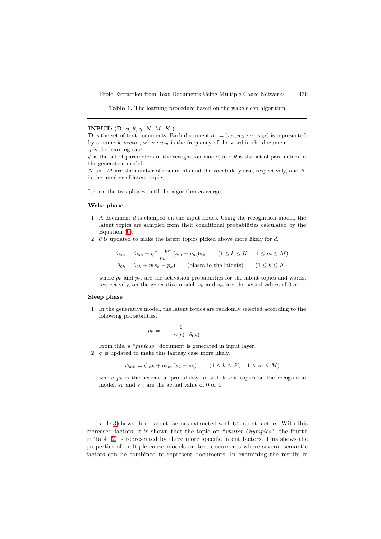**Table 1.** The learning procedure based on the wake-sleep algorithm

<span id="page-5-0"></span>**INPUT:**  $(D, \phi, \theta, \eta, N, M, K)$ 

**D** is the set of text documents. Each document  $d_n = (w_1, w_2, \dots, w_M)$  is represented by a numeric vector, where  $w_m$  is the frequency of the word in the document.  $\eta$  is the learning rate.

 $\phi$  is the set of parameters in the recognition model, and  $\theta$  is the set of parameters in the generative model.

 $N$  and  $M$  are the number of documents and the vocabulary size, respectively, and  $K$ is the number of latent topics.

Iterate the two phases until the algorithm converges.

#### **Wake phase**

- 1. A document d is clamped on the input nodes. Using the recognition model, the latent topics are sampled from their conditional probabilities calculated by the Equation [\(6\)](#page-3-0).
- 2.  $\theta$  is updated to make the latent topics picked above more likely for d.

$$
\theta_{km} = \theta_{km} + \eta \frac{1 - p_m}{p_m} (s_m - p_m) s_k \qquad (1 \le k \le K, \quad 1 \le m \le M)
$$
  

$$
\theta_{0k} = \theta_{0k} + \eta (s_k - p_k) \qquad \text{(biases to the latent)} \qquad (1 \le k \le K)
$$

where  $p_k$  and  $p_m$  are the activation probabilities for the latent topics and words, respectively, on the generative model.  $s_k$  and  $s_m$  are the actual values of 0 or 1.

#### **Sleep phase**

1. In the generative model, the latent topics are randomly selected according to the following probabilities.

$$
p_k = \frac{1}{1 + \exp(-\theta_{0k})}
$$

From this, a "fantasy" document is generated in input layer.

2.  $\phi$  is updated to make this fantasy case more likely.

$$
\phi_{mk} = \phi_{mk} + \eta s_m (s_k - p_k) \qquad (1 \le k \le K, \quad 1 \le m \le M)
$$

where  $p_k$  is the activation probability for kth latent topics on the recognition model.  $s_k$  and  $s_m$  are the actual value of 0 or 1.

Table [3](#page-6-0) shows three latent factors extracted with 64 latent factors. With this increased factors, it is shown that the topic on "winter Olympics", the fourth in Table [2,](#page-6-0) is represented by three more specific latent factors. This shows the properties of multiple-cause models on text documents where several semantic factors can be combined to represent documents. In examining the results in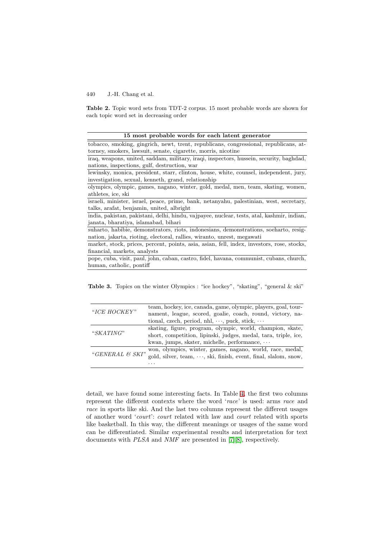<span id="page-6-0"></span>**Table 2.** Topic word sets from TDT-2 corpus. 15 most probable words are shown for each topic word set in decreasing order

| 15 most probable words for each latent generator |  |
|--------------------------------------------------|--|
|--------------------------------------------------|--|

pope, cuba, visit, paul, john, caban, castro, fidel, havana, communist, cubans, church, human, catholic, pontiff

**Table 3.** Topics on the winter Olympics : "ice hockey", "skating", "general & ski"

|                 | team, hockey, ice, canada, game, olympic, players, goal, tour-  |  |  |  |  |  |  |
|-----------------|-----------------------------------------------------------------|--|--|--|--|--|--|
| "ICE HOCKEY"    | nament, league, scored, goalie, coach, round, victory, na-      |  |  |  |  |  |  |
|                 | tional, czech, period, nhl, $\cdots$ , puck, stick, $\cdots$    |  |  |  |  |  |  |
|                 | skating, figure, program, olympic, world, champion, skate,      |  |  |  |  |  |  |
| "SKATING"       | short, competition, lipinski, judges, medal, tara, triple, ice, |  |  |  |  |  |  |
|                 | kwan, jumps, skater, michelle, performance, $\cdots$            |  |  |  |  |  |  |
| "GENERAL & SKI" | won, olympics, winter, games, nagano, world, race, medal,       |  |  |  |  |  |  |
|                 | gold, silver, team, , ski, finish, event, final, slalom, snow,  |  |  |  |  |  |  |
|                 |                                                                 |  |  |  |  |  |  |

detail, we have found some interesting facts. In Table [4,](#page-7-0) the first two columns represent the different contexts where the word 'race' is used: arms race and race in sports like ski. And the last two columns represent the different usages of another word 'court': court related with law and court related with sports like basketball. In this way, the different meanings or usages of the same word can be differentiated. Similar experimental results and interpretation for text documents with PLSA and NMF are presented in [\[7\]\[8\]](#page-9-0), respectively.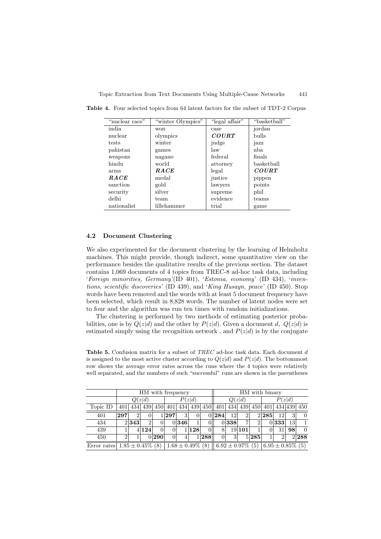| "nuclear race" | "winter Olympics" | "legal affair" | "basketball" |
|----------------|-------------------|----------------|--------------|
| india          | won               | case           | jordan       |
| nuclear        | olympics          | <b>COURT</b>   | <b>bulls</b> |
| tests          | winter            | judge          | jazz         |
| pakistan       | games             | law            | nba          |
| weapons        | nagano            | federal        | finals       |
| hindu          | world             | attorney       | basketball   |
| arms           | RACE              | legal          | <b>COURT</b> |
| <b>RACE</b>    | medal             | justice        | pippen       |
| sanction       | gold              | lawyers        | points       |
| security       | silver            | supreme        | phil         |
| delhi          | team              | evidence       | teams        |
| nationalist    | lillehammer       | trial          | game         |

<span id="page-7-0"></span>**Table 4.** Four selected topics from 64 latent factors for the subset of TDT-2 Corpus

### **4.2 Document Clustering**

We also experimented for the document clustering by the learning of Helmholtz machines. This might provide, though indirect, some quantitative view on the performance besides the qualitative results of the previous section. The dataset contains 1,069 documents of 4 topics from TREC-8 ad-hoc task data, including 'Foreign minorities, Germany'(ID 401), 'Estonia, economy' (ID 434), 'inventions, scientific discoveries' (ID 439), and 'King Husayn, peace' (ID 450). Stop words have been removed and the words with at least 5 document frequency have been selected, which result in 8,828 words. The number of latent nodes were set to four and the algorithm was run ten times with random initializations.

The clustering is performed by two methods of estimating posterior probabilities, one is by  $Q(z|d)$  and the other by  $P(z|d)$ . Given a document d,  $Q(z|d)$  is estimated simply using the recognition network, and  $P(z|d)$  is by the conjugate

**Table 5.** Confusion matrix for a subset of TREC ad-hoc task data. Each document d is assigned to the most active cluster according to  $Q(z|d)$  and  $P(z|d)$ . The bottommost row shows the average error rates across the runs where the 4 topics were relatively well separated, and the numbers of such "successful" runs are shown in the parentheses

|                                   | HM with frequency |       |       |       |        |                       |     | HM with binary |                                   |       |                |        |       |                       |    |             |
|-----------------------------------|-------------------|-------|-------|-------|--------|-----------------------|-----|----------------|-----------------------------------|-------|----------------|--------|-------|-----------------------|----|-------------|
|                                   | Q(z d)            |       |       |       | P(z d) |                       |     | Q(z d)         |                                   |       |                | P(z d) |       |                       |    |             |
| Topic ID                          | 401               | 434   | 439   |       |        | 450 401 434 439       |     |                | 450  401                          | 434   | 439            | 450    | 401   |                       |    | 434 439 450 |
| 401                               | 297               |       | O     |       | 297    | 3                     |     |                | 0 284                             | 12    | $\overline{2}$ |        | 2 285 | 12                    | 3  | $\Omega$    |
| 434                               |                   | 2 343 |       |       |        | 0 346                 |     |                |                                   | 0 338 | 7              | 2      |       | 0 333                 | 13 |             |
| 439                               |                   |       | 4 124 |       |        |                       | 128 |                | 8'                                |       | 19 10 1        |        |       | 31                    | 98 | $\Omega$    |
| 450                               | $\overline{2}$    |       |       | 0 290 |        |                       |     | 1288           |                                   | 3     |                | 5 285  |       | 2                     |    | 2288        |
| Error rates $1.85 \pm 0.45\%$ (8) |                   |       |       |       |        | $1.68 \pm 0.49\%$ (8) |     |                | $\parallel$ 6.92 $\pm$ 0.97\% (5) |       |                |        |       | $6.95 \pm 0.85\%$ (5) |    |             |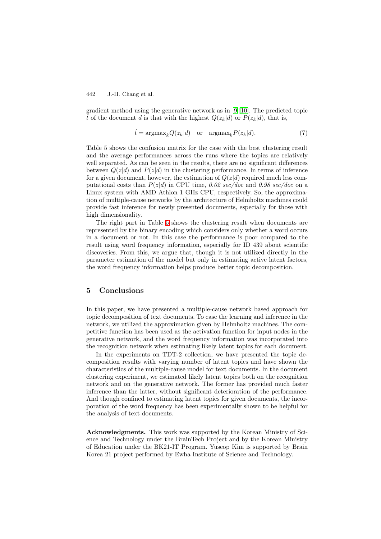gradient method using the generative network as in [\[9\]\[10\]](#page-9-0). The predicted topic  $\hat{t}$  of the document d is that with the highest  $Q(z_k|d)$  or  $P(z_k|d)$ , that is,

$$
\hat{t} = \operatorname{argmax}_{k} Q(z_k | d) \quad \text{or} \quad \operatorname{argmax}_{k} P(z_k | d). \tag{7}
$$

Table 5 shows the confusion matrix for the case with the best clustering result and the average performances across the runs where the topics are relatively well separated. As can be seen in the results, there are no significant differences between  $Q(z|d)$  and  $P(z|d)$  in the clustering performance. In terms of inference for a given document, however, the estimation of  $Q(z|d)$  required much less computational costs than  $P(z|d)$  in CPU time, 0.02 sec/doc and 0.98 sec/doc on a Linux system with AMD Athlon 1 GHz CPU, respectively. So, the approximation of multiple-cause networks by the architecture of Helmholtz machines could provide fast inference for newly presented documents, especially for those with high dimensionality.

The right part in Table [5](#page-7-0) shows the clustering result when documents are represented by the binary encoding which considers only whether a word occurs in a document or not. In this case the performance is poor compared to the result using word frequency information, especially for ID 439 about scientific discoveries. From this, we argue that, though it is not utilized directly in the parameter estimation of the model but only in estimating active latent factors, the word frequency information helps produce better topic decomposition.

### **5 Conclusions**

In this paper, we have presented a multiple-cause network based approach for topic decomposition of text documents. To ease the learning and inference in the network, we utilized the approximation given by Helmholtz machines. The competitive function has been used as the activation function for input nodes in the generative network, and the word frequency information was incorporated into the recognition network when estimating likely latent topics for each document.

In the experiments on TDT-2 collection, we have presented the topic decomposition results with varying number of latent topics and have shown the characteristics of the multiple-cause model for text documents. In the document clustering experiment, we estimated likely latent topics both on the recognition network and on the generative network. The former has provided much faster inference than the latter, without significant deterioration of the performance. And though confined to estimating latent topics for given documents, the incorporation of the word frequency has been experimentally shown to be helpful for the analysis of text documents.

**Acknowledgments.** This work was supported by the Korean Ministry of Science and Technology under the BrainTech Project and by the Korean Ministry of Education under the BK21-IT Program. Yuseop Kim is supported by Brain Korea 21 project performed by Ewha Institute of Science and Technology.